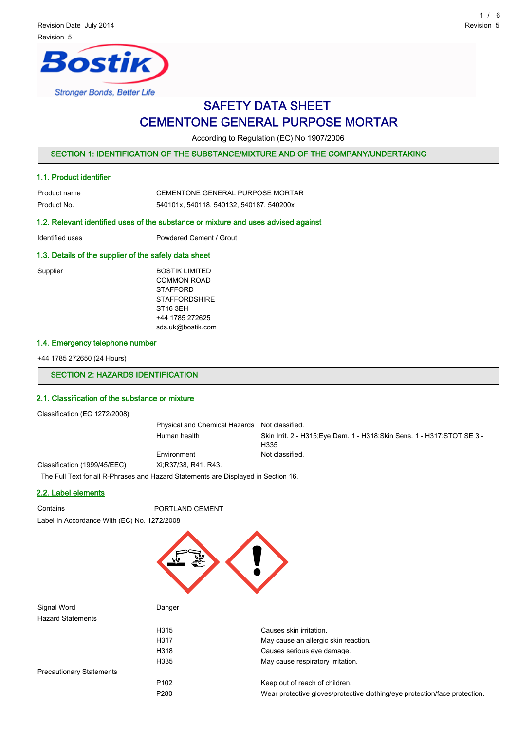# ostik **Stronger Bonds, Better Life**

# SAFETY DATA SHEET CEMENTONE GENERAL PURPOSE MORTAR

According to Regulation (EC) No 1907/2006

### SECTION 1: IDENTIFICATION OF THE SUBSTANCE/MIXTURE AND OF THE COMPANY/UNDERTAKING

#### 1.1. Product identifier

| Product name | CEMENTONE GENERAL PURPOSE MORTAR         |
|--------------|------------------------------------------|
| Product No.  | 540101x, 540118, 540132, 540187, 540200x |

### 1.2. Relevant identified uses of the substance or mixture and uses advised against

Identified uses Powdered Cement / Grout

#### 1.3. Details of the supplier of the safety data sheet

| Supplier | <b>BOSTIK LIMITED</b> |
|----------|-----------------------|
|          | <b>COMMON ROAD</b>    |
|          | <b>STAFFORD</b>       |
|          | <b>STAFFORDSHIRE</b>  |
|          | ST16 3EH              |
|          | +44 1785 272625       |
|          | sds.uk@bostik.com     |
|          |                       |

#### 1.4. Emergency telephone number

+44 1785 272650 (24 Hours)

#### SECTION 2: HAZARDS IDENTIFICATION

# 2.1. Classification of the substance or mixture

Classification (EC 1272/2008)

Physical and Chemical Hazards Not classified. Human health Skin Irrit. 2 - H315;Eye Dam. 1 - H318;Skin Sens. 1 - H317;STOT SE 3 - H335 Environment Not classified. Classification (1999/45/EEC) Xi;R37/38, R41. R43.

The Full Text for all R-Phrases and Hazard Statements are Displayed in Section 16.

# 2.2. Label elements

Contains **PORTLAND CEMENT** Label In Accordance With (EC) No. 1272/2008



| Signal Word                     | Danger           |                                                                            |
|---------------------------------|------------------|----------------------------------------------------------------------------|
| <b>Hazard Statements</b>        |                  |                                                                            |
|                                 | H315             | Causes skin irritation.                                                    |
|                                 | H317             | May cause an allergic skin reaction.                                       |
|                                 | H318             | Causes serious eye damage.                                                 |
|                                 | H335             | May cause respiratory irritation.                                          |
| <b>Precautionary Statements</b> |                  |                                                                            |
|                                 | P <sub>102</sub> | Keep out of reach of children.                                             |
|                                 | P <sub>280</sub> | Wear protective gloves/protective clothing/eye protection/face protection. |
|                                 |                  |                                                                            |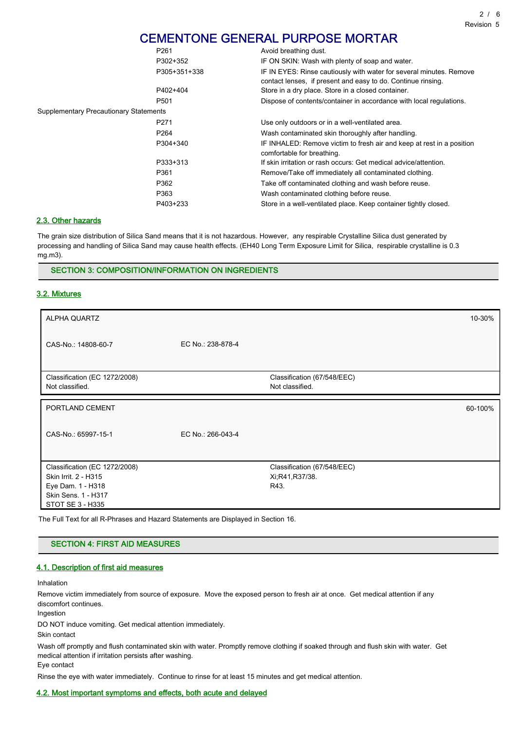# CEMENTONE GENERAL PURPOSE MORTAR

|                                        | P <sub>261</sub> | Avoid breathing dust.                                                                                                               |
|----------------------------------------|------------------|-------------------------------------------------------------------------------------------------------------------------------------|
|                                        | P302+352         | IF ON SKIN: Wash with plenty of soap and water.                                                                                     |
|                                        | P305+351+338     | IF IN EYES: Rinse cautiously with water for several minutes. Remove<br>contact lenses, if present and easy to do. Continue rinsing. |
|                                        | P402+404         | Store in a dry place. Store in a closed container.                                                                                  |
|                                        | P <sub>501</sub> | Dispose of contents/container in accordance with local regulations.                                                                 |
| Supplementary Precautionary Statements |                  |                                                                                                                                     |
|                                        | P <sub>271</sub> | Use only outdoors or in a well-ventilated area.                                                                                     |
|                                        | P <sub>264</sub> | Wash contaminated skin thoroughly after handling.                                                                                   |
|                                        | P304+340         | IF INHALED: Remove victim to fresh air and keep at rest in a position<br>comfortable for breathing.                                 |
|                                        | P333+313         | If skin irritation or rash occurs: Get medical advice/attention.                                                                    |
|                                        | P361             | Remove/Take off immediately all contaminated clothing.                                                                              |
|                                        | P362             | Take off contaminated clothing and wash before reuse.                                                                               |
|                                        | P363             | Wash contaminated clothing before reuse.                                                                                            |
|                                        | P403+233         | Store in a well-ventilated place. Keep container tightly closed.                                                                    |

# 2.3. Other hazards

The grain size distribution of Silica Sand means that it is not hazardous. However, any respirable Crystalline Silica dust generated by processing and handling of Silica Sand may cause health effects. (EH40 Long Term Exposure Limit for Silica, respirable crystalline is 0.3 mg.m3).

#### SECTION 3: COMPOSITION/INFORMATION ON INGREDIENTS

#### 3.2. Mixtures

| ALPHA QUARTZ                                     |                   |                                                | 10-30%  |
|--------------------------------------------------|-------------------|------------------------------------------------|---------|
| CAS-No.: 14808-60-7                              | EC No.: 238-878-4 |                                                |         |
| Classification (EC 1272/2008)<br>Not classified. |                   | Classification (67/548/EEC)<br>Not classified. |         |
| PORTLAND CEMENT                                  |                   |                                                | 60-100% |
| CAS-No.: 65997-15-1                              | EC No.: 266-043-4 |                                                |         |
| Classification (EC 1272/2008)                    |                   | Classification (67/548/EEC)                    |         |
| Skin Irrit. 2 - H315<br>Eye Dam. 1 - H318        |                   | Xi; R41, R37/38.<br>R43.                       |         |
| Skin Sens. 1 - H317                              |                   |                                                |         |
| STOT SE 3 - H335                                 |                   |                                                |         |

The Full Text for all R-Phrases and Hazard Statements are Displayed in Section 16.

#### SECTION 4: FIRST AID MEASURES

#### 4.1. Description of first aid measures

#### Inhalation

Remove victim immediately from source of exposure. Move the exposed person to fresh air at once. Get medical attention if any discomfort continues.

Ingestion

DO NOT induce vomiting. Get medical attention immediately.

Skin contact

Wash off promptly and flush contaminated skin with water. Promptly remove clothing if soaked through and flush skin with water. Get medical attention if irritation persists after washing.

Eye contact

Rinse the eye with water immediately. Continue to rinse for at least 15 minutes and get medical attention.

#### 4.2. Most important symptoms and effects, both acute and delayed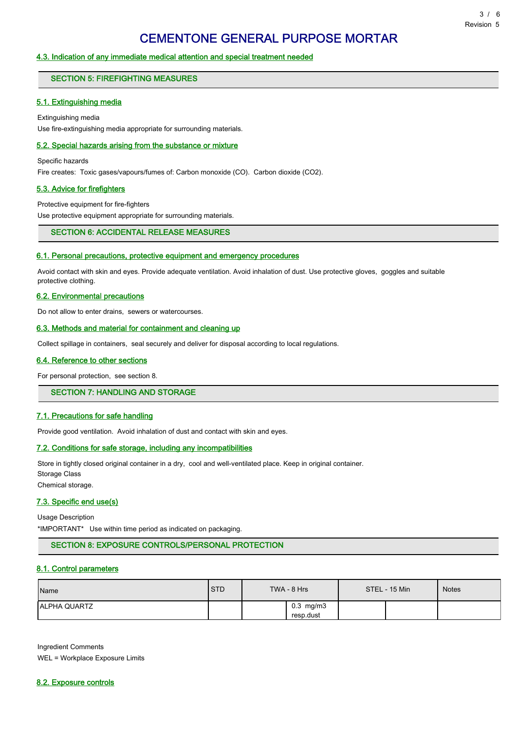#### 4.3. Indication of any immediate medical attention and special treatment needed

#### SECTION 5: FIREFIGHTING MEASURES

#### 5.1. Extinguishing media

Extinguishing media Use fire-extinguishing media appropriate for surrounding materials.

#### 5.2. Special hazards arising from the substance or mixture

Specific hazards

Fire creates: Toxic gases/vapours/fumes of: Carbon monoxide (CO). Carbon dioxide (CO2).

#### 5.3. Advice for firefighters

Protective equipment for fire-fighters

Use protective equipment appropriate for surrounding materials.

# SECTION 6: ACCIDENTAL RELEASE MEASURES

#### 6.1. Personal precautions, protective equipment and emergency procedures

Avoid contact with skin and eyes. Provide adequate ventilation. Avoid inhalation of dust. Use protective gloves, goggles and suitable protective clothing.

#### 6.2. Environmental precautions

Do not allow to enter drains, sewers or watercourses.

#### 6.3. Methods and material for containment and cleaning up

Collect spillage in containers, seal securely and deliver for disposal according to local regulations.

#### 6.4. Reference to other sections

For personal protection, see section 8.

### SECTION 7: HANDLING AND STORAGE

#### 7.1. Precautions for safe handling

Provide good ventilation. Avoid inhalation of dust and contact with skin and eyes.

#### 7.2. Conditions for safe storage, including any incompatibilities

Store in tightly closed original container in a dry, cool and well-ventilated place. Keep in original container. Storage Class

Chemical storage.

#### 7.3. Specific end use(s)

Usage Description

\*IMPORTANT\* Use within time period as indicated on packaging.

#### SECTION 8: EXPOSURE CONTROLS/PERSONAL PROTECTION

#### 8.1. Control parameters

| Name                | <b>STD</b> | TWA - 8 Hrs                    | STEL - 15 Min | <b>Notes</b> |
|---------------------|------------|--------------------------------|---------------|--------------|
| <b>ALPHA QUARTZ</b> |            | $0.3 \,$ mg/m $3$<br>resp.dust |               |              |

Ingredient Comments WEL = Workplace Exposure Limits

8.2. Exposure controls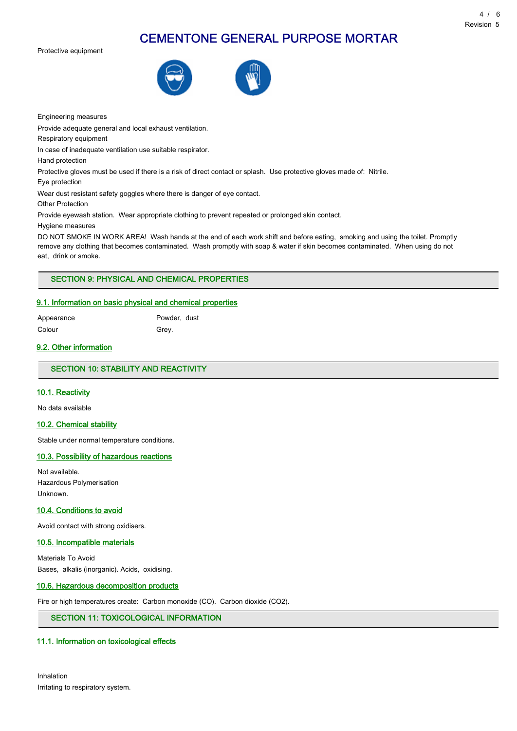# CEMENTONE GENERAL PURPOSE MORTAR

Protective equipment





Engineering measures

Provide adequate general and local exhaust ventilation.

Respiratory equipment

In case of inadequate ventilation use suitable respirator.

Hand protection

Protective gloves must be used if there is a risk of direct contact or splash. Use protective gloves made of: Nitrile.

Eye protection

Wear dust resistant safety goggles where there is danger of eye contact.

Other Protection

Provide eyewash station. Wear appropriate clothing to prevent repeated or prolonged skin contact.

Hygiene measures

DO NOT SMOKE IN WORK AREA! Wash hands at the end of each work shift and before eating, smoking and using the toilet. Promptly remove any clothing that becomes contaminated. Wash promptly with soap & water if skin becomes contaminated. When using do not eat, drink or smoke.

# SECTION 9: PHYSICAL AND CHEMICAL PROPERTIES

# 9.1. Information on basic physical and chemical properties

Colour Grey.

Appearance Powder, dust

#### 9.2. Other information

# SECTION 10: STABILITY AND REACTIVITY

#### 10.1. Reactivity

No data available

#### 10.2. Chemical stability

Stable under normal temperature conditions.

#### 10.3. Possibility of hazardous reactions

Not available. Hazardous Polymerisation Unknown.

### 10.4. Conditions to avoid

Avoid contact with strong oxidisers.

#### 10.5. Incompatible materials

Materials To Avoid Bases, alkalis (inorganic). Acids, oxidising.

#### 10.6. Hazardous decomposition products

Fire or high temperatures create: Carbon monoxide (CO). Carbon dioxide (CO2).

# SECTION 11: TOXICOLOGICAL INFORMATION

# 11.1. Information on toxicological effects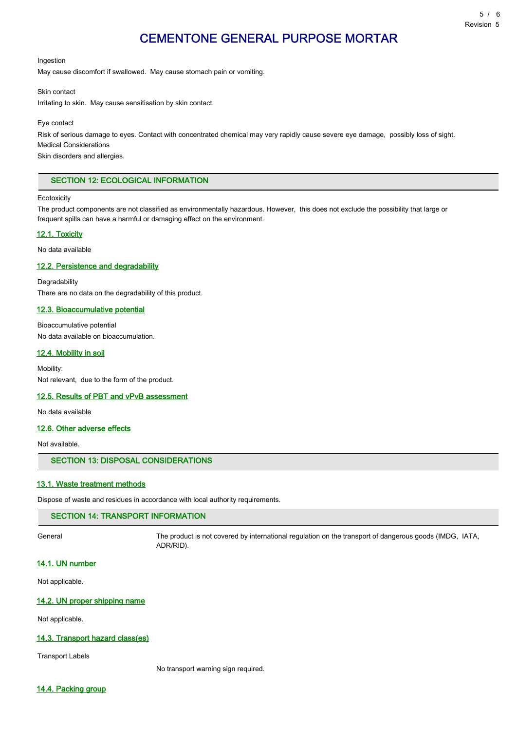Ingestion

May cause discomfort if swallowed. May cause stomach pain or vomiting.

Skin contact

Irritating to skin. May cause sensitisation by skin contact.

Eye contact

Risk of serious damage to eyes. Contact with concentrated chemical may very rapidly cause severe eye damage, possibly loss of sight. Medical Considerations

Skin disorders and allergies.

#### SECTION 12: ECOLOGICAL INFORMATION

#### **Ecotoxicity**

The product components are not classified as environmentally hazardous. However, this does not exclude the possibility that large or frequent spills can have a harmful or damaging effect on the environment.

#### 12.1. Toxicity

No data available

#### 12.2. Persistence and degradability

Degradability There are no data on the degradability of this product.

#### 12.3. Bioaccumulative potential

Bioaccumulative potential No data available on bioaccumulation.

#### 12.4. Mobility in soil

Mobility: Not relevant, due to the form of the product.

#### 12.5. Results of PBT and vPvB assessment

No data available

#### 12.6. Other adverse effects

Not available.

#### SECTION 13: DISPOSAL CONSIDERATIONS

#### 13.1. Waste treatment methods

Dispose of waste and residues in accordance with local authority requirements.

# SECTION 14: TRANSPORT INFORMATION

General The product is not covered by international regulation on the transport of dangerous goods (IMDG, IATA, ADR/RID).

#### 14.1. UN number

Not applicable.

#### 14.2. UN proper shipping name

Not applicable.

#### 14.3. Transport hazard class(es)

Transport Labels

No transport warning sign required.